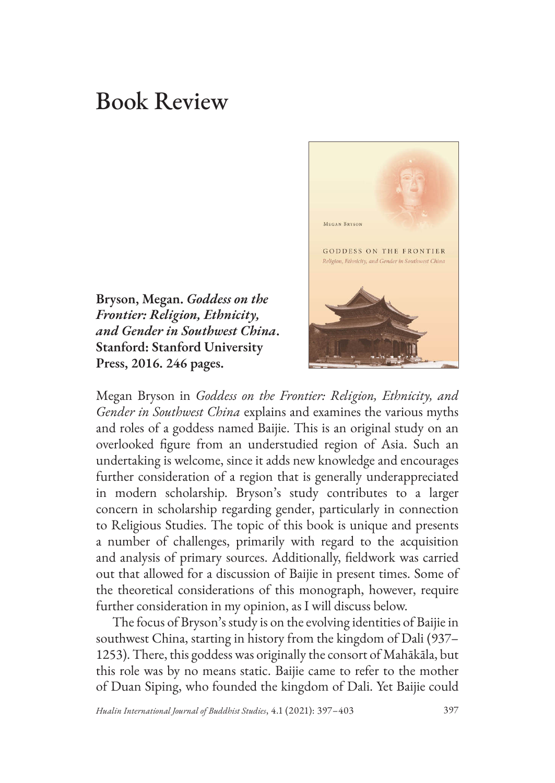## Book Review

**Bryson, Megan.** *Goddess on the Frontier: Religion, Ethnicity, and Gender in Southwest China***. Stanford: Stanford University Press, 2016. 246 pages.** 



Megan Bryson in *Goddess on the Frontier: Religion, Ethnicity, and Gender in Southwest China* explains and examines the various myths and roles of a goddess named Baijie. This is an original study on an overlooked figure from an understudied region of Asia. Such an undertaking is welcome, since it adds new knowledge and encourages further consideration of a region that is generally underappreciated in modern scholarship. Bryson's study contributes to a larger concern in scholarship regarding gender, particularly in connection to Religious Studies. The topic of this book is unique and presents a number of challenges, primarily with regard to the acquisition and analysis of primary sources. Additionally, fieldwork was carried out that allowed for a discussion of Baijie in present times. Some of the theoretical considerations of this monograph, however, require further consideration in my opinion, as I will discuss below.

The focus of Bryson's study is on the evolving identities of Baijie in southwest China, starting in history from the kingdom of Dali (937– 1253). There, this goddess was originally the consort of Mahākāla, but this role was by no means static. Baijie came to refer to the mother of Duan Siping, who founded the kingdom of Dali. Yet Baijie could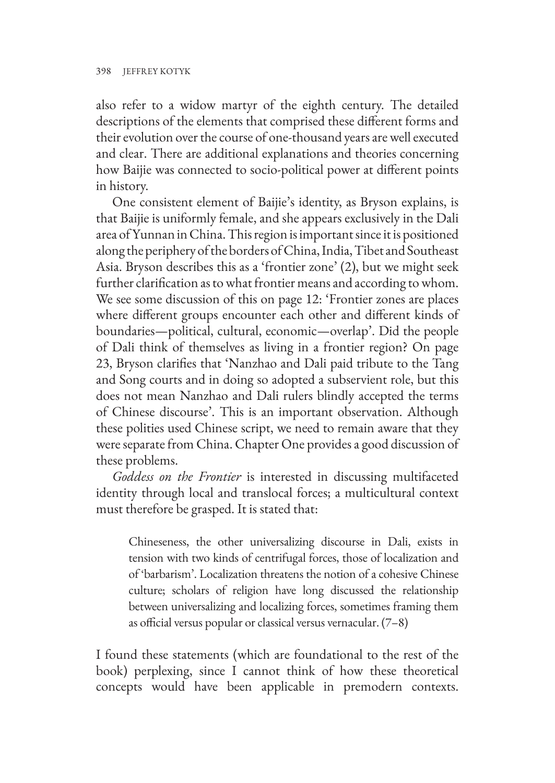also refer to a widow martyr of the eighth century. The detailed descriptions of the elements that comprised these different forms and their evolution over the course of one-thousand years are well executed and clear. There are additional explanations and theories concerning how Baijie was connected to socio-political power at different points in history.

One consistent element of Baijie's identity, as Bryson explains, is that Baijie is uniformly female, and she appears exclusively in the Dali area of Yunnan in China. This region is important since it is positioned along the periphery of the borders of China, India, Tibet and Southeast Asia. Bryson describes this as a 'frontier zone' (2), but we might seek further clarification as to what frontier means and according to whom. We see some discussion of this on page 12: 'Frontier zones are places where different groups encounter each other and different kinds of boundaries—political, cultural, economic—overlap'. Did the people of Dali think of themselves as living in a frontier region? On page 23, Bryson clarifies that 'Nanzhao and Dali paid tribute to the Tang and Song courts and in doing so adopted a subservient role, but this does not mean Nanzhao and Dali rulers blindly accepted the terms of Chinese discourse'. This is an important observation. Although these polities used Chinese script, we need to remain aware that they were separate from China. Chapter One provides a good discussion of these problems.

*Goddess on the Frontier* is interested in discussing multifaceted identity through local and translocal forces; a multicultural context must therefore be grasped. It is stated that:

Chineseness, the other universalizing discourse in Dali, exists in tension with two kinds of centrifugal forces, those of localization and of 'barbarism'. Localization threatens the notion of a cohesive Chinese culture; scholars of religion have long discussed the relationship between universalizing and localizing forces, sometimes framing them as official versus popular or classical versus vernacular. (7–8)

I found these statements (which are foundational to the rest of the book) perplexing, since I cannot think of how these theoretical concepts would have been applicable in premodern contexts.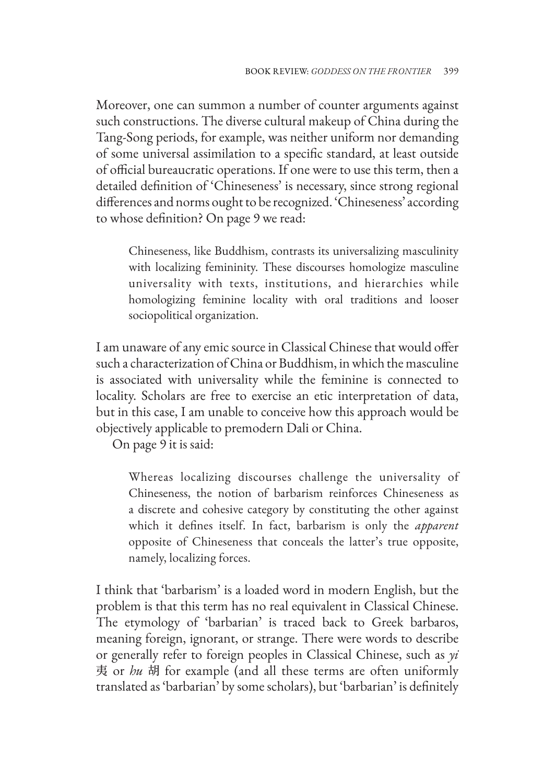Moreover, one can summon a number of counter arguments against such constructions. The diverse cultural makeup of China during the Tang-Song periods, for example, was neither uniform nor demanding of some universal assimilation to a specific standard, at least outside of official bureaucratic operations. If one were to use this term, then a detailed definition of 'Chineseness' is necessary, since strong regional differences and norms ought to be recognized. 'Chineseness' according to whose definition? On page 9 we read:

Chineseness, like Buddhism, contrasts its universalizing masculinity with localizing femininity. These discourses homologize masculine universality with texts, institutions, and hierarchies while homologizing feminine locality with oral traditions and looser sociopolitical organization.

I am unaware of any emic source in Classical Chinese that would offer such a characterization of China or Buddhism, in which the masculine is associated with universality while the feminine is connected to locality. Scholars are free to exercise an etic interpretation of data, but in this case, I am unable to conceive how this approach would be objectively applicable to premodern Dali or China.

On page 9 it is said:

Whereas localizing discourses challenge the universality of Chineseness, the notion of barbarism reinforces Chineseness as a discrete and cohesive category by constituting the other against which it defines itself. In fact, barbarism is only the *apparent* opposite of Chineseness that conceals the latter's true opposite, namely, localizing forces.

I think that 'barbarism' is a loaded word in modern English, but the problem is that this term has no real equivalent in Classical Chinese. The etymology of 'barbarian' is traced back to Greek barbaros, meaning foreign, ignorant, or strange. There were words to describe or generally refer to foreign peoples in Classical Chinese, such as *yi* 夷 or *hu* 胡 for example (and all these terms are often uniformly translated as 'barbarian' by some scholars), but 'barbarian' is definitely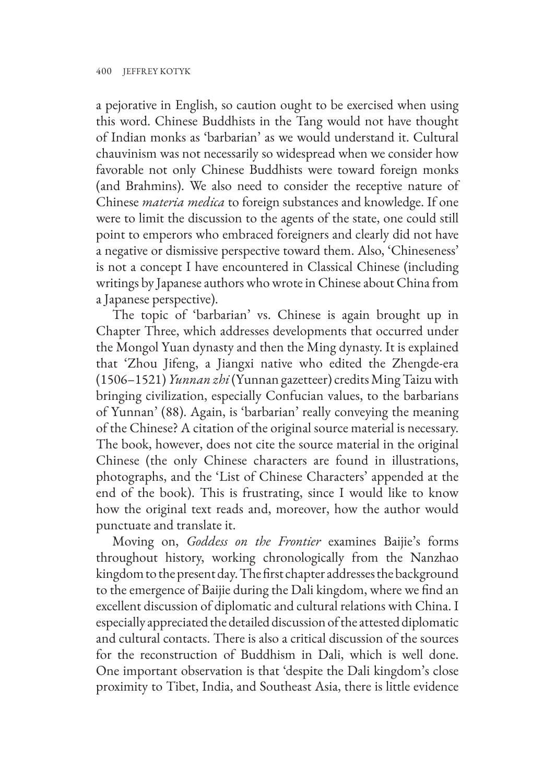a pejorative in English, so caution ought to be exercised when using this word. Chinese Buddhists in the Tang would not have thought of Indian monks as 'barbarian' as we would understand it. Cultural chauvinism was not necessarily so widespread when we consider how favorable not only Chinese Buddhists were toward foreign monks (and Brahmins). We also need to consider the receptive nature of Chinese *materia medica* to foreign substances and knowledge. If one were to limit the discussion to the agents of the state, one could still point to emperors who embraced foreigners and clearly did not have a negative or dismissive perspective toward them. Also, 'Chineseness' is not a concept I have encountered in Classical Chinese (including writings by Japanese authors who wrote in Chinese about China from a Japanese perspective).

The topic of 'barbarian' vs. Chinese is again brought up in Chapter Three, which addresses developments that occurred under the Mongol Yuan dynasty and then the Ming dynasty. It is explained that 'Zhou Jifeng, a Jiangxi native who edited the Zhengde-era (1506–1521) *Yunnan zhi* (Yunnan gazetteer) credits Ming Taizu with bringing civilization, especially Confucian values, to the barbarians of Yunnan' (88). Again, is 'barbarian' really conveying the meaning of the Chinese? A citation of the original source material is necessary. The book, however, does not cite the source material in the original Chinese (the only Chinese characters are found in illustrations, photographs, and the 'List of Chinese Characters' appended at the end of the book). This is frustrating, since I would like to know how the original text reads and, moreover, how the author would punctuate and translate it.

Moving on, *Goddess on the Frontier* examines Baijie's forms throughout history, working chronologically from the Nanzhao kingdom to the present day. The first chapter addresses the background to the emergence of Baijie during the Dali kingdom, where we find an excellent discussion of diplomatic and cultural relations with China. I especially appreciated the detailed discussion of the attested diplomatic and cultural contacts. There is also a critical discussion of the sources for the reconstruction of Buddhism in Dali, which is well done. One important observation is that 'despite the Dali kingdom's close proximity to Tibet, India, and Southeast Asia, there is little evidence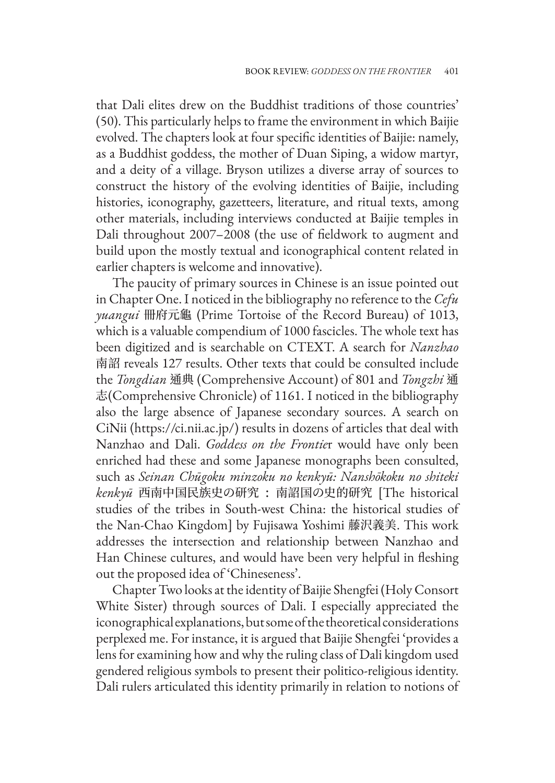that Dali elites drew on the Buddhist traditions of those countries' (50). This particularly helps to frame the environment in which Baijie evolved. The chapters look at four specific identities of Baijie: namely, as a Buddhist goddess, the mother of Duan Siping, a widow martyr, and a deity of a village. Bryson utilizes a diverse array of sources to construct the history of the evolving identities of Baijie, including histories, iconography, gazetteers, literature, and ritual texts, among other materials, including interviews conducted at Baijie temples in Dali throughout 2007–2008 (the use of fieldwork to augment and build upon the mostly textual and iconographical content related in earlier chapters is welcome and innovative).

The paucity of primary sources in Chinese is an issue pointed out in Chapter One. I noticed in the bibliography no reference to the *Cefu yuangui* 冊府元龜 (Prime Tortoise of the Record Bureau) of 1013, which is a valuable compendium of 1000 fascicles. The whole text has been digitized and is searchable on CTEXT. A search for *Nanzhao* 南詔 reveals 127 results. Other texts that could be consulted include the *Tongdian* 通典 (Comprehensive Account) of 801 and *Tongzhi* 通 志(Comprehensive Chronicle) of 1161. I noticed in the bibliography also the large absence of Japanese secondary sources. A search on CiNii (https://ci.nii.ac.jp/) results in dozens of articles that deal with Nanzhao and Dali. *Goddess on the Frontie*r would have only been enriched had these and some Japanese monographs been consulted, such as *Seinan Chūgoku minzoku no kenkyū: Nanshōkoku no shiteki kenkyū* 西南中国民族史の研究 : 南詔国の史的研究 [The historical studies of the tribes in South-west China: the historical studies of the Nan-Chao Kingdom] by Fujisawa Yoshimi 藤沢義美. This work addresses the intersection and relationship between Nanzhao and Han Chinese cultures, and would have been very helpful in fleshing out the proposed idea of 'Chineseness'.

Chapter Two looks at the identity of Baijie Shengfei (Holy Consort White Sister) through sources of Dali. I especially appreciated the iconographical explanations, but some of the theoretical considerations perplexed me. For instance, it is argued that Baijie Shengfei 'provides a lens for examining how and why the ruling class of Dali kingdom used gendered religious symbols to present their politico-religious identity. Dali rulers articulated this identity primarily in relation to notions of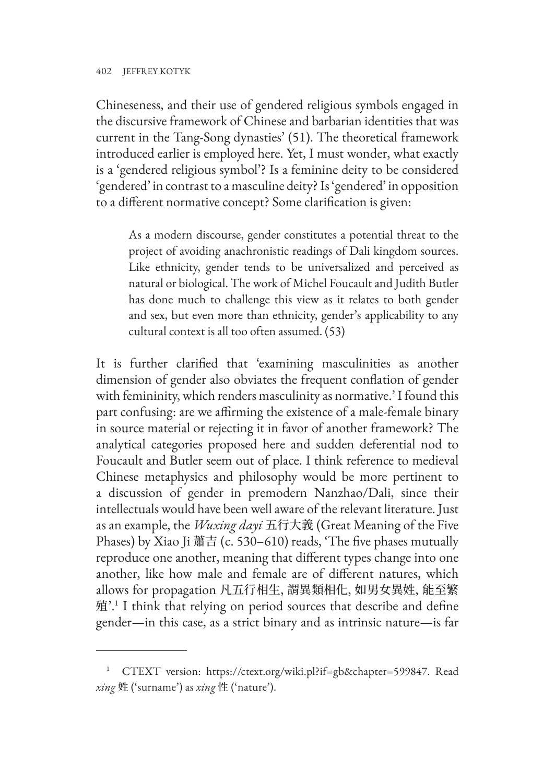Chineseness, and their use of gendered religious symbols engaged in the discursive framework of Chinese and barbarian identities that was current in the Tang-Song dynasties' (51). The theoretical framework introduced earlier is employed here. Yet, I must wonder, what exactly is a 'gendered religious symbol'? Is a feminine deity to be considered 'gendered' in contrast to a masculine deity? Is 'gendered' in opposition to a different normative concept? Some clarification is given:

As a modern discourse, gender constitutes a potential threat to the project of avoiding anachronistic readings of Dali kingdom sources. Like ethnicity, gender tends to be universalized and perceived as natural or biological. The work of Michel Foucault and Judith Butler has done much to challenge this view as it relates to both gender and sex, but even more than ethnicity, gender's applicability to any cultural context is all too often assumed. (53)

It is further clarified that 'examining masculinities as another dimension of gender also obviates the frequent conflation of gender with femininity, which renders masculinity as normative.' I found this part confusing: are we affirming the existence of a male-female binary in source material or rejecting it in favor of another framework? The analytical categories proposed here and sudden deferential nod to Foucault and Butler seem out of place. I think reference to medieval Chinese metaphysics and philosophy would be more pertinent to a discussion of gender in premodern Nanzhao/Dali, since their intellectuals would have been well aware of the relevant literature. Just as an example, the *Wuxing dayi* 五行大義 (Great Meaning of the Five Phases) by Xiao Ji 蕭吉 (c. 530–610) reads, 'The five phases mutually reproduce one another, meaning that different types change into one another, like how male and female are of different natures, which allows for propagation 凡五行相生, 謂異類相化, 如男女異姓, 能至繁 殖'.<sup>1</sup> I think that relying on period sources that describe and define gender—in this case, as a strict binary and as intrinsic nature—is far

<sup>1</sup> CTEXT version: https://ctext.org/wiki.pl?if=gb&chapter=599847. Read *xing* 姓 ('surname') as *xing* 性 ('nature').